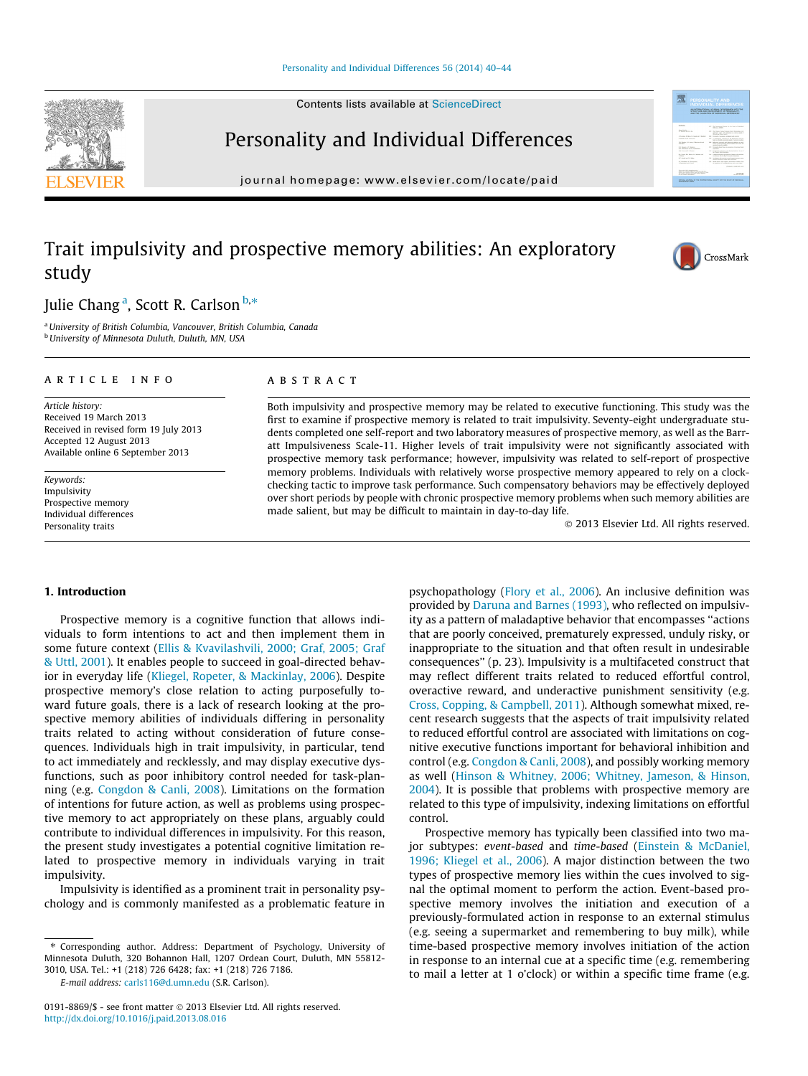#### [Personality and Individual Differences 56 \(2014\) 40–44](http://dx.doi.org/10.1016/j.paid.2013.08.016)

Contents lists available at [ScienceDirect](http://www.sciencedirect.com/science/journal/01918869)

## Personality and Individual Differences

journal homepage: [www.elsevier.com/locate/paid](http://www.elsevier.com/locate/paid)

## Trait impulsivity and prospective memory abilities: An exploratory study

Julie Chang <sup>a</sup>, Scott R. Carlson <sup>b,</sup>\*

<sup>a</sup>University of British Columbia, Vancouver, British Columbia, Canada **b** University of Minnesota Duluth, Duluth, MN, USA

#### article info

Article history: Received 19 March 2013 Received in revised form 19 July 2013 Accepted 12 August 2013 Available online 6 September 2013

Keywords: Impulsivity Prospective memory Individual differences Personality traits

#### ABSTRACT

Both impulsivity and prospective memory may be related to executive functioning. This study was the first to examine if prospective memory is related to trait impulsivity. Seventy-eight undergraduate students completed one self-report and two laboratory measures of prospective memory, as well as the Barratt Impulsiveness Scale-11. Higher levels of trait impulsivity were not significantly associated with prospective memory task performance; however, impulsivity was related to self-report of prospective memory problems. Individuals with relatively worse prospective memory appeared to rely on a clockchecking tactic to improve task performance. Such compensatory behaviors may be effectively deployed over short periods by people with chronic prospective memory problems when such memory abilities are made salient, but may be difficult to maintain in day-to-day life.

- 2013 Elsevier Ltd. All rights reserved.

#### 1. Introduction

Prospective memory is a cognitive function that allows individuals to form intentions to act and then implement them in some future context ([Ellis & Kvavilashvili, 2000; Graf, 2005; Graf](#page--1-0) [& Uttl, 2001\)](#page--1-0). It enables people to succeed in goal-directed behavior in everyday life ([Kliegel, Ropeter, & Mackinlay, 2006](#page--1-0)). Despite prospective memory's close relation to acting purposefully toward future goals, there is a lack of research looking at the prospective memory abilities of individuals differing in personality traits related to acting without consideration of future consequences. Individuals high in trait impulsivity, in particular, tend to act immediately and recklessly, and may display executive dysfunctions, such as poor inhibitory control needed for task-planning (e.g. [Congdon & Canli, 2008](#page--1-0)). Limitations on the formation of intentions for future action, as well as problems using prospective memory to act appropriately on these plans, arguably could contribute to individual differences in impulsivity. For this reason, the present study investigates a potential cognitive limitation related to prospective memory in individuals varying in trait impulsivity.

Impulsivity is identified as a prominent trait in personality psychology and is commonly manifested as a problematic feature in

E-mail address: [carls116@d.umn.edu](mailto:carls116@d.umn.edu) (S.R. Carlson).

psychopathology [\(Flory et al., 2006\)](#page--1-0). An inclusive definition was provided by [Daruna and Barnes \(1993\)](#page--1-0), who reflected on impulsivity as a pattern of maladaptive behavior that encompasses ''actions that are poorly conceived, prematurely expressed, unduly risky, or inappropriate to the situation and that often result in undesirable consequences'' (p. 23). Impulsivity is a multifaceted construct that may reflect different traits related to reduced effortful control, overactive reward, and underactive punishment sensitivity (e.g. [Cross, Copping, & Campbell, 2011](#page--1-0)). Although somewhat mixed, recent research suggests that the aspects of trait impulsivity related to reduced effortful control are associated with limitations on cognitive executive functions important for behavioral inhibition and control (e.g. [Congdon & Canli, 2008](#page--1-0)), and possibly working memory as well [\(Hinson & Whitney, 2006; Whitney, Jameson, & Hinson,](#page--1-0) [2004\)](#page--1-0). It is possible that problems with prospective memory are related to this type of impulsivity, indexing limitations on effortful control.

Prospective memory has typically been classified into two major subtypes: event-based and time-based [\(Einstein & McDaniel,](#page--1-0) [1996; Kliegel et al., 2006\)](#page--1-0). A major distinction between the two types of prospective memory lies within the cues involved to signal the optimal moment to perform the action. Event-based prospective memory involves the initiation and execution of a previously-formulated action in response to an external stimulus (e.g. seeing a supermarket and remembering to buy milk), while time-based prospective memory involves initiation of the action in response to an internal cue at a specific time (e.g. remembering to mail a letter at 1 o'clock) or within a specific time frame (e.g.





AN INTERNATIONAL JOURNAL OF RESEARC

骤



<sup>⇑</sup> Corresponding author. Address: Department of Psychology, University of Minnesota Duluth, 320 Bohannon Hall, 1207 Ordean Court, Duluth, MN 55812- 3010, USA. Tel.: +1 (218) 726 6428; fax: +1 (218) 726 7186.

<sup>0191-8869/\$ -</sup> see front matter © 2013 Elsevier Ltd. All rights reserved. <http://dx.doi.org/10.1016/j.paid.2013.08.016>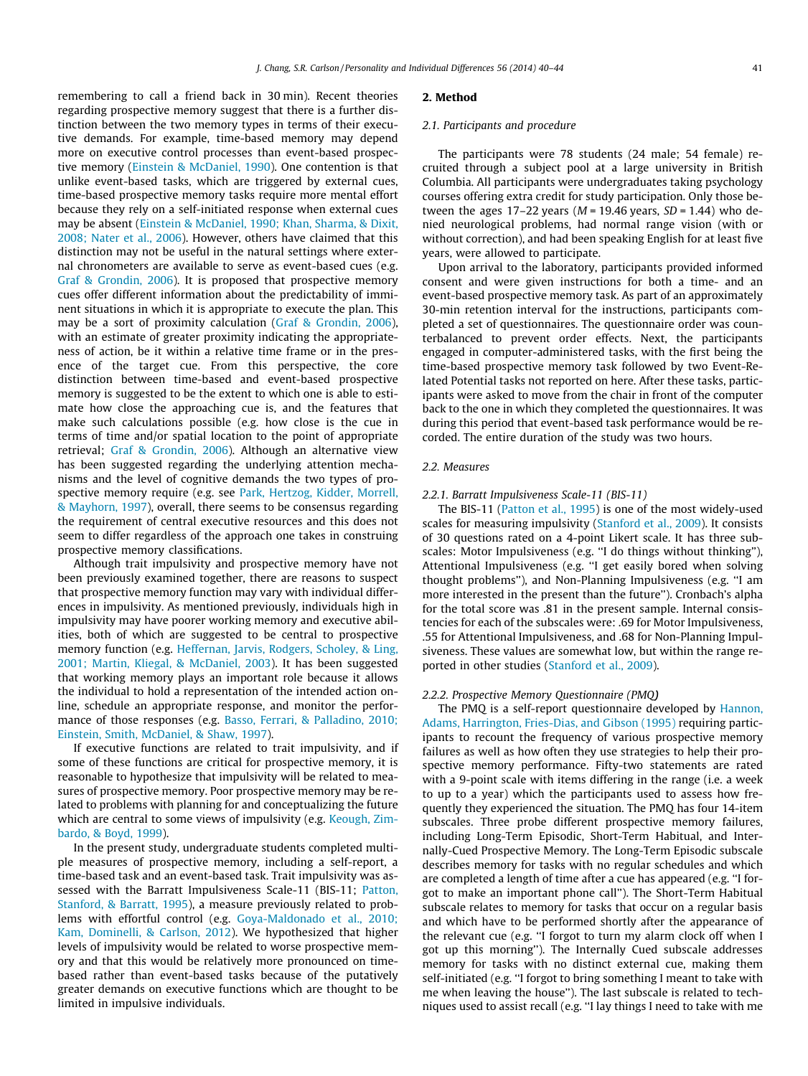remembering to call a friend back in 30 min). Recent theories regarding prospective memory suggest that there is a further distinction between the two memory types in terms of their executive demands. For example, time-based memory may depend more on executive control processes than event-based prospective memory ([Einstein & McDaniel, 1990](#page--1-0)). One contention is that unlike event-based tasks, which are triggered by external cues, time-based prospective memory tasks require more mental effort because they rely on a self-initiated response when external cues may be absent [\(Einstein & McDaniel, 1990; Khan, Sharma, & Dixit,](#page--1-0) [2008; Nater et al., 2006\)](#page--1-0). However, others have claimed that this distinction may not be useful in the natural settings where external chronometers are available to serve as event-based cues (e.g. [Graf & Grondin, 2006\)](#page--1-0). It is proposed that prospective memory cues offer different information about the predictability of imminent situations in which it is appropriate to execute the plan. This may be a sort of proximity calculation [\(Graf & Grondin, 2006\)](#page--1-0), with an estimate of greater proximity indicating the appropriateness of action, be it within a relative time frame or in the presence of the target cue. From this perspective, the core distinction between time-based and event-based prospective memory is suggested to be the extent to which one is able to estimate how close the approaching cue is, and the features that make such calculations possible (e.g. how close is the cue in terms of time and/or spatial location to the point of appropriate retrieval; [Graf & Grondin, 2006](#page--1-0)). Although an alternative view has been suggested regarding the underlying attention mechanisms and the level of cognitive demands the two types of prospective memory require (e.g. see [Park, Hertzog, Kidder, Morrell,](#page--1-0) [& Mayhorn, 1997](#page--1-0)), overall, there seems to be consensus regarding the requirement of central executive resources and this does not seem to differ regardless of the approach one takes in construing prospective memory classifications.

Although trait impulsivity and prospective memory have not been previously examined together, there are reasons to suspect that prospective memory function may vary with individual differences in impulsivity. As mentioned previously, individuals high in impulsivity may have poorer working memory and executive abilities, both of which are suggested to be central to prospective memory function (e.g. [Heffernan, Jarvis, Rodgers, Scholey, & Ling,](#page--1-0) [2001; Martin, Kliegal, & McDaniel, 2003\)](#page--1-0). It has been suggested that working memory plays an important role because it allows the individual to hold a representation of the intended action online, schedule an appropriate response, and monitor the performance of those responses (e.g. [Basso, Ferrari, & Palladino, 2010;](#page--1-0) [Einstein, Smith, McDaniel, & Shaw, 1997\)](#page--1-0).

If executive functions are related to trait impulsivity, and if some of these functions are critical for prospective memory, it is reasonable to hypothesize that impulsivity will be related to measures of prospective memory. Poor prospective memory may be related to problems with planning for and conceptualizing the future which are central to some views of impulsivity (e.g. [Keough, Zim](#page--1-0)[bardo, & Boyd, 1999\)](#page--1-0).

In the present study, undergraduate students completed multiple measures of prospective memory, including a self-report, a time-based task and an event-based task. Trait impulsivity was assessed with the Barratt Impulsiveness Scale-11 (BIS-11; [Patton,](#page--1-0) [Stanford, & Barratt, 1995\)](#page--1-0), a measure previously related to problems with effortful control (e.g. [Goya-Maldonado et al., 2010;](#page--1-0) [Kam, Dominelli, & Carlson, 2012](#page--1-0)). We hypothesized that higher levels of impulsivity would be related to worse prospective memory and that this would be relatively more pronounced on timebased rather than event-based tasks because of the putatively greater demands on executive functions which are thought to be limited in impulsive individuals.

#### 2. Method

#### 2.1. Participants and procedure

The participants were 78 students (24 male; 54 female) recruited through a subject pool at a large university in British Columbia. All participants were undergraduates taking psychology courses offering extra credit for study participation. Only those between the ages  $17-22$  years ( $M = 19.46$  years,  $SD = 1.44$ ) who denied neurological problems, had normal range vision (with or without correction), and had been speaking English for at least five years, were allowed to participate.

Upon arrival to the laboratory, participants provided informed consent and were given instructions for both a time- and an event-based prospective memory task. As part of an approximately 30-min retention interval for the instructions, participants completed a set of questionnaires. The questionnaire order was counterbalanced to prevent order effects. Next, the participants engaged in computer-administered tasks, with the first being the time-based prospective memory task followed by two Event-Related Potential tasks not reported on here. After these tasks, participants were asked to move from the chair in front of the computer back to the one in which they completed the questionnaires. It was during this period that event-based task performance would be recorded. The entire duration of the study was two hours.

### 2.2. Measures

#### 2.2.1. Barratt Impulsiveness Scale-11 (BIS-11)

The BIS-11 ([Patton et al., 1995](#page--1-0)) is one of the most widely-used scales for measuring impulsivity [\(Stanford et al., 2009\)](#page--1-0). It consists of 30 questions rated on a 4-point Likert scale. It has three subscales: Motor Impulsiveness (e.g. ''I do things without thinking''), Attentional Impulsiveness (e.g. ''I get easily bored when solving thought problems''), and Non-Planning Impulsiveness (e.g. ''I am more interested in the present than the future''). Cronbach's alpha for the total score was .81 in the present sample. Internal consistencies for each of the subscales were: .69 for Motor Impulsiveness, .55 for Attentional Impulsiveness, and .68 for Non-Planning Impulsiveness. These values are somewhat low, but within the range reported in other studies ([Stanford et al., 2009](#page--1-0)).

#### 2.2.2. Prospective Memory Questionnaire (PMQ)

The PMQ is a self-report questionnaire developed by [Hannon,](#page--1-0) [Adams, Harrington, Fries-Dias, and Gibson \(1995\)](#page--1-0) requiring participants to recount the frequency of various prospective memory failures as well as how often they use strategies to help their prospective memory performance. Fifty-two statements are rated with a 9-point scale with items differing in the range (i.e. a week to up to a year) which the participants used to assess how frequently they experienced the situation. The PMQ has four 14-item subscales. Three probe different prospective memory failures, including Long-Term Episodic, Short-Term Habitual, and Internally-Cued Prospective Memory. The Long-Term Episodic subscale describes memory for tasks with no regular schedules and which are completed a length of time after a cue has appeared (e.g. ''I forgot to make an important phone call''). The Short-Term Habitual subscale relates to memory for tasks that occur on a regular basis and which have to be performed shortly after the appearance of the relevant cue (e.g. ''I forgot to turn my alarm clock off when I got up this morning''). The Internally Cued subscale addresses memory for tasks with no distinct external cue, making them self-initiated (e.g. ''I forgot to bring something I meant to take with me when leaving the house''). The last subscale is related to techniques used to assist recall (e.g. ''I lay things I need to take with me